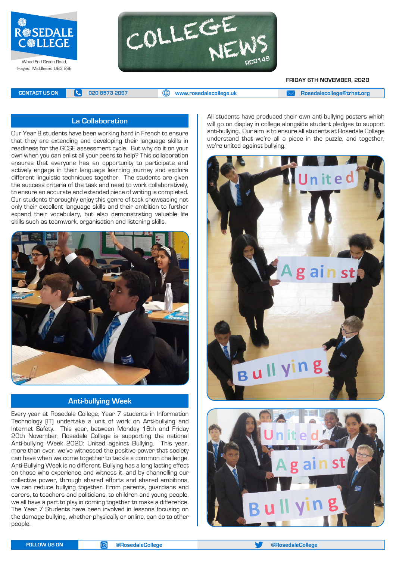

Hayes, Middlesex, UB3 2SE



**FRIDAY 6TH NOVEMBER, 2020**

**CONTACT US ON <b>C** 020 8573 2097 **C** 020 8573 2097 **CONTACT US ON EXAM** A posedalecollege@trhat.org

#### **La Collaboration**

Our Year 8 students have been working hard in French to ensure that they are extending and developing their language skills in readiness for the GCSE assessment cycle. But why do it on your own when you can enlist all your peers to help? This collaboration ensures that everyone has an opportunity to participate and actively engage in their language learning journey and explore different linguistic techniques together. The students are given the success criteria of the task and need to work collaboratively, to ensure an accurate and extended piece of writing is completed. Our students thoroughly enjoy this genre of task showcasing not only their excellent language skills and their ambition to further expand their vocabulary, but also demonstrating valuable life skills such as teamwork, organisation and listening skills.



#### **Anti-bullying Week**

Every year at Rosedale College, Year 7 students in Information Technology (IT) undertake a unit of work on Anti-bullying and Internet Safety. This year, between Monday 16th and Friday 20th November, Rosedale College is supporting the national Anti-bullying Week 2020: United against Bullying. This year, more than ever, we've witnessed the positive power that society can have when we come together to tackle a common challenge. Anti-Bullying Week is no different. Bullying has a long lasting effect on those who experience and witness it, and by channelling our collective power, through shared efforts and shared ambitions, we can reduce bullying together. From parents, guardians and carers, to teachers and politicians, to children and young people, we all have a part to play in coming together to make a difference. The Year 7 Students have been involved in lessons focusing on the damage bullying, whether physically or online, can do to other people.

All students have produced their own anti-bullying posters which will go on display in college alongside student pledges to support anti-bullying. Our aim is to ensure all students at Rosedale College understand that we're all a piece in the puzzle, and together, we're united against bullying.